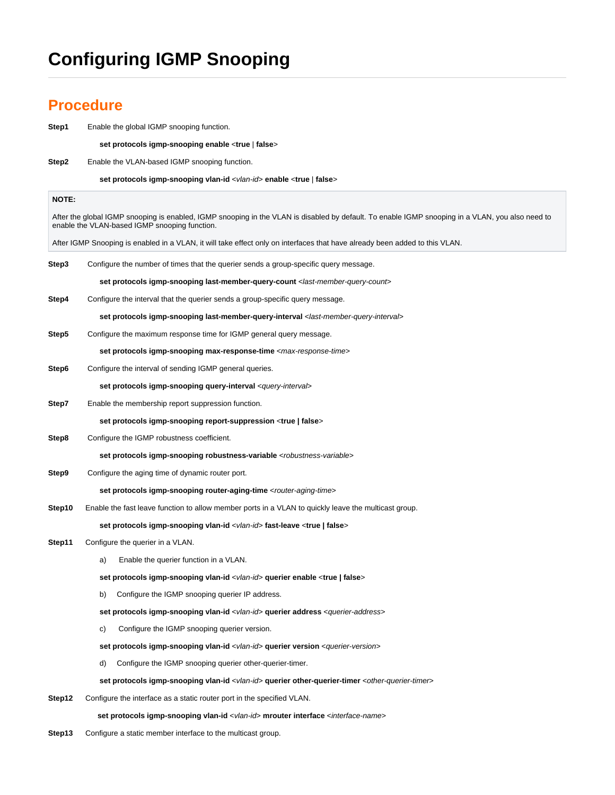## **Configuring IGMP Snooping**

## **Procedure**

| Step1  | Enable the global IGMP snooping function.                                                                                                                                                         |
|--------|---------------------------------------------------------------------------------------------------------------------------------------------------------------------------------------------------|
|        | set protocols igmp-snooping enable <true false=""  =""></true>                                                                                                                                    |
| Step2  | Enable the VLAN-based IGMP snooping function.                                                                                                                                                     |
|        | set protocols igmp-snooping vlan-id <vlan-id> enable <true false=""  =""></true></vlan-id>                                                                                                        |
| NOTE:  |                                                                                                                                                                                                   |
|        | After the global IGMP snooping is enabled, IGMP snooping in the VLAN is disabled by default. To enable IGMP snooping in a VLAN, you also need to<br>enable the VLAN-based IGMP snooping function. |
|        | After IGMP Snooping is enabled in a VLAN, it will take effect only on interfaces that have already been added to this VLAN.                                                                       |
| Step3  | Configure the number of times that the querier sends a group-specific query message.                                                                                                              |
|        | set protocols igmp-snooping last-member-query-count <last-member-query-count></last-member-query-count>                                                                                           |
| Step4  | Configure the interval that the querier sends a group-specific query message.                                                                                                                     |
|        | set protocols igmp-snooping last-member-query-interval <last-member-query-interval></last-member-query-interval>                                                                                  |
| Step5  | Configure the maximum response time for IGMP general query message.                                                                                                                               |
|        | set protocols igmp-snooping max-response-time <max-response-time></max-response-time>                                                                                                             |
| Step6  | Configure the interval of sending IGMP general queries.                                                                                                                                           |
|        | set protocols igmp-snooping query-interval <query-interval></query-interval>                                                                                                                      |
| Step7  | Enable the membership report suppression function.                                                                                                                                                |
|        | set protocols igmp-snooping report-suppression <true false=""  =""></true>                                                                                                                        |
| Step8  | Configure the IGMP robustness coefficient.                                                                                                                                                        |
|        | set protocols igmp-snooping robustness-variable <robustness-variable></robustness-variable>                                                                                                       |
| Step9  | Configure the aging time of dynamic router port.                                                                                                                                                  |
|        | set protocols igmp-snooping router-aging-time <router-aging-time></router-aging-time>                                                                                                             |
| Step10 | Enable the fast leave function to allow member ports in a VLAN to quickly leave the multicast group.                                                                                              |
|        | set protocols igmp-snooping vlan-id <vlan-id> fast-leave <true false=""  =""></true></vlan-id>                                                                                                    |
| Step11 | Configure the querier in a VLAN.                                                                                                                                                                  |
|        | Enable the querier function in a VLAN.<br>a)                                                                                                                                                      |
|        | set protocols igmp-snooping vlan-id <vlan-id> querier enable <true false=""  =""></true></vlan-id>                                                                                                |
|        | Configure the IGMP snooping querier IP address.<br>b)                                                                                                                                             |
|        | set protocols igmp-snooping vlan-id <vlan-id> querier address <querier-address></querier-address></vlan-id>                                                                                       |
|        | Configure the IGMP snooping querier version.<br>C)                                                                                                                                                |
|        | set protocols igmp-snooping vlan-id <vlan-id> querier version <querier-version></querier-version></vlan-id>                                                                                       |
|        | Configure the IGMP snooping querier other-querier-timer.<br>d)                                                                                                                                    |
|        | set protocols igmp-snooping vlan-id <vlan-id> querier other-querier-timer <other-querier-timer></other-querier-timer></vlan-id>                                                                   |
| Step12 | Configure the interface as a static router port in the specified VLAN.                                                                                                                            |
|        | set protocols igmp-snooping vlan-id <vlan-id> mrouter interface <interface-name></interface-name></vlan-id>                                                                                       |

**Step13** Configure a static member interface to the multicast group.